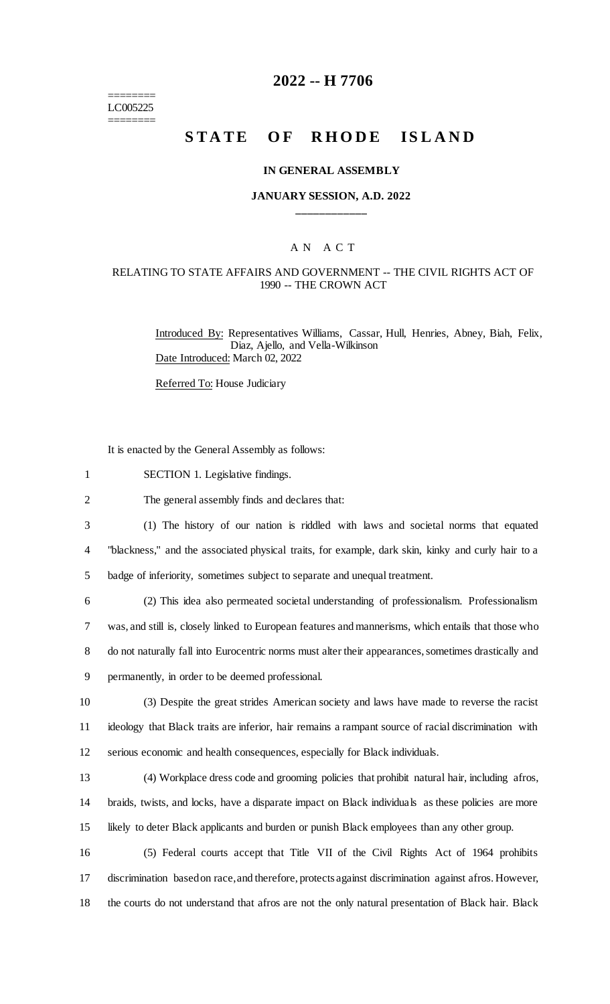======== LC005225 ========

## **2022 -- H 7706**

# **STATE OF RHODE ISLAND**

#### **IN GENERAL ASSEMBLY**

#### **JANUARY SESSION, A.D. 2022 \_\_\_\_\_\_\_\_\_\_\_\_**

## A N A C T

## RELATING TO STATE AFFAIRS AND GOVERNMENT -- THE CIVIL RIGHTS ACT OF 1990 -- THE CROWN ACT

Introduced By: Representatives Williams, Cassar, Hull, Henries, Abney, Biah, Felix, Diaz, Ajello, and Vella-Wilkinson Date Introduced: March 02, 2022

Referred To: House Judiciary

It is enacted by the General Assembly as follows:

1 SECTION 1. Legislative findings.

2 The general assembly finds and declares that:

3 (1) The history of our nation is riddled with laws and societal norms that equated 4 "blackness," and the associated physical traits, for example, dark skin, kinky and curly hair to a 5 badge of inferiority, sometimes subject to separate and unequal treatment.

 (2) This idea also permeated societal understanding of professionalism. Professionalism was, and still is, closely linked to European features and mannerisms, which entails that those who do not naturally fall into Eurocentric norms must alter their appearances, sometimes drastically and permanently, in order to be deemed professional.

10 (3) Despite the great strides American society and laws have made to reverse the racist 11 ideology that Black traits are inferior, hair remains a rampant source of racial discrimination with 12 serious economic and health consequences, especially for Black individuals.

13 (4) Workplace dress code and grooming policies that prohibit natural hair, including afros, 14 braids, twists, and locks, have a disparate impact on Black individuals as these policies are more 15 likely to deter Black applicants and burden or punish Black employees than any other group.

16 (5) Federal courts accept that Title VII of the Civil Rights Act of 1964 prohibits 17 discrimination based on race, and therefore, protects against discrimination against afros. However, 18 the courts do not understand that afros are not the only natural presentation of Black hair. Black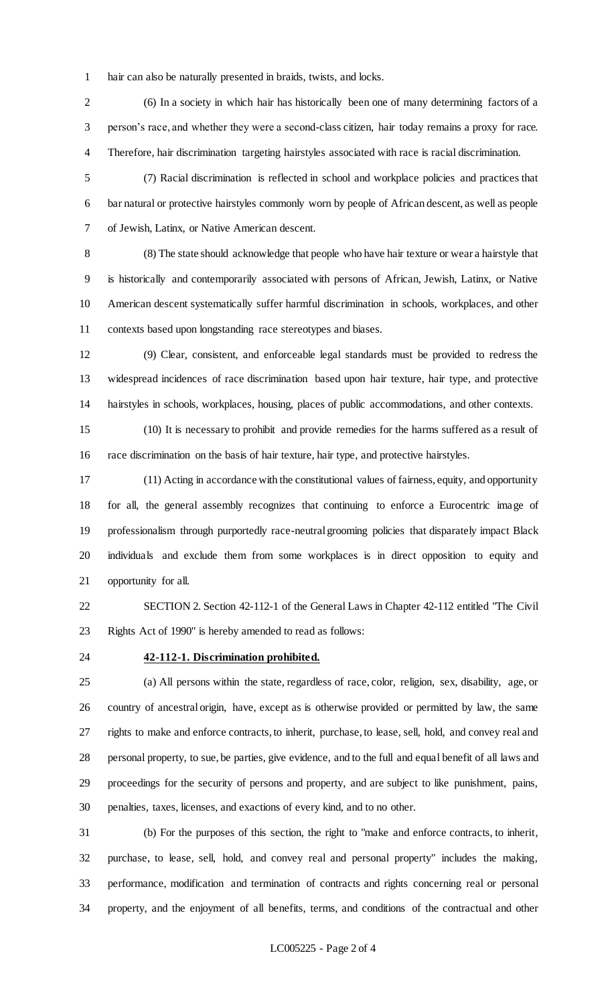hair can also be naturally presented in braids, twists, and locks.

 (6) In a society in which hair has historically been one of many determining factors of a person's race, and whether they were a second-class citizen, hair today remains a proxy for race. Therefore, hair discrimination targeting hairstyles associated with race is racial discrimination.

 (7) Racial discrimination is reflected in school and workplace policies and practices that bar natural or protective hairstyles commonly worn by people of African descent, as well as people of Jewish, Latinx, or Native American descent.

 (8) The state should acknowledge that people who have hair texture or wear a hairstyle that is historically and contemporarily associated with persons of African, Jewish, Latinx, or Native American descent systematically suffer harmful discrimination in schools, workplaces, and other contexts based upon longstanding race stereotypes and biases.

 (9) Clear, consistent, and enforceable legal standards must be provided to redress the widespread incidences of race discrimination based upon hair texture, hair type, and protective hairstyles in schools, workplaces, housing, places of public accommodations, and other contexts.

 (10) It is necessary to prohibit and provide remedies for the harms suffered as a result of race discrimination on the basis of hair texture, hair type, and protective hairstyles.

 (11) Acting in accordance with the constitutional values of fairness, equity, and opportunity for all, the general assembly recognizes that continuing to enforce a Eurocentric image of professionalism through purportedly race-neutral grooming policies that disparately impact Black individuals and exclude them from some workplaces is in direct opposition to equity and opportunity for all.

 SECTION 2. Section 42-112-1 of the General Laws in Chapter 42-112 entitled "The Civil Rights Act of 1990" is hereby amended to read as follows:

## **42-112-1. Discrimination prohibited.**

 (a) All persons within the state, regardless of race, color, religion, sex, disability, age, or country of ancestral origin, have, except as is otherwise provided or permitted by law, the same rights to make and enforce contracts, to inherit, purchase, to lease, sell, hold, and convey real and personal property, to sue, be parties, give evidence, and to the full and equal benefit of all laws and proceedings for the security of persons and property, and are subject to like punishment, pains, penalties, taxes, licenses, and exactions of every kind, and to no other.

 (b) For the purposes of this section, the right to "make and enforce contracts, to inherit, purchase, to lease, sell, hold, and convey real and personal property" includes the making, performance, modification and termination of contracts and rights concerning real or personal property, and the enjoyment of all benefits, terms, and conditions of the contractual and other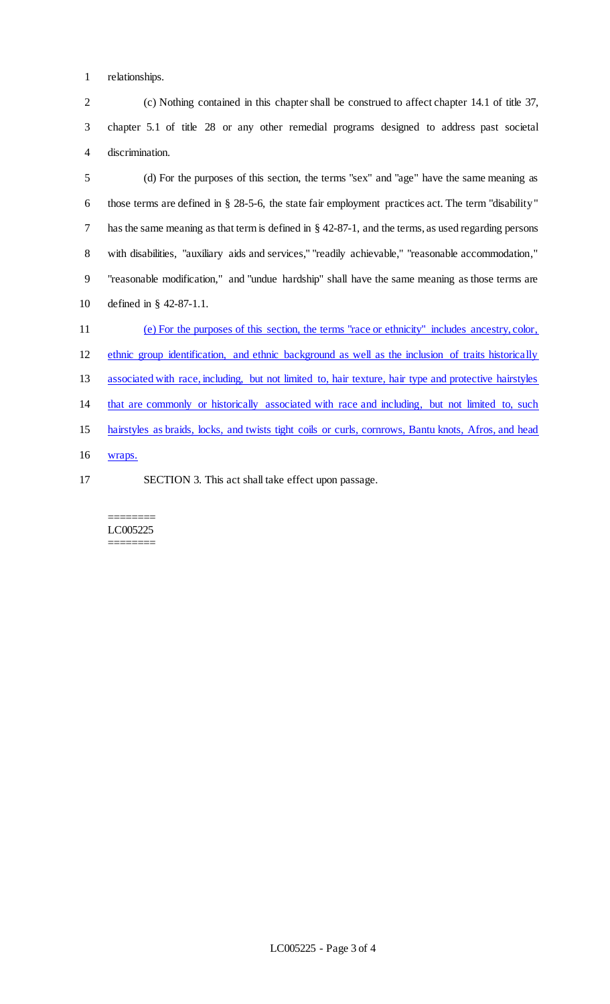relationships.

 (c) Nothing contained in this chapter shall be construed to affect chapter 14.1 of title 37, chapter 5.1 of title 28 or any other remedial programs designed to address past societal discrimination.

 (d) For the purposes of this section, the terms "sex" and "age" have the same meaning as those terms are defined in § 28-5-6, the state fair employment practices act. The term "disability" has the same meaning as that term is defined in § 42-87-1, and the terms, as used regarding persons with disabilities, "auxiliary aids and services," "readily achievable," "reasonable accommodation," "reasonable modification," and "undue hardship" shall have the same meaning as those terms are defined in § 42-87-1.1.

 (e) For the purposes of this section, the terms "race or ethnicity" includes ancestry, color, ethnic group identification, and ethnic background as well as the inclusion of traits historically associated with race, including, but not limited to, hair texture, hair type and protective hairstyles that are commonly or historically associated with race and including, but not limited to, such hairstyles as braids, locks, and twists tight coils or curls, cornrows, Bantu knots, Afros, and head wraps.

SECTION 3. This act shall take effect upon passage.

#### ======== LC005225 ========